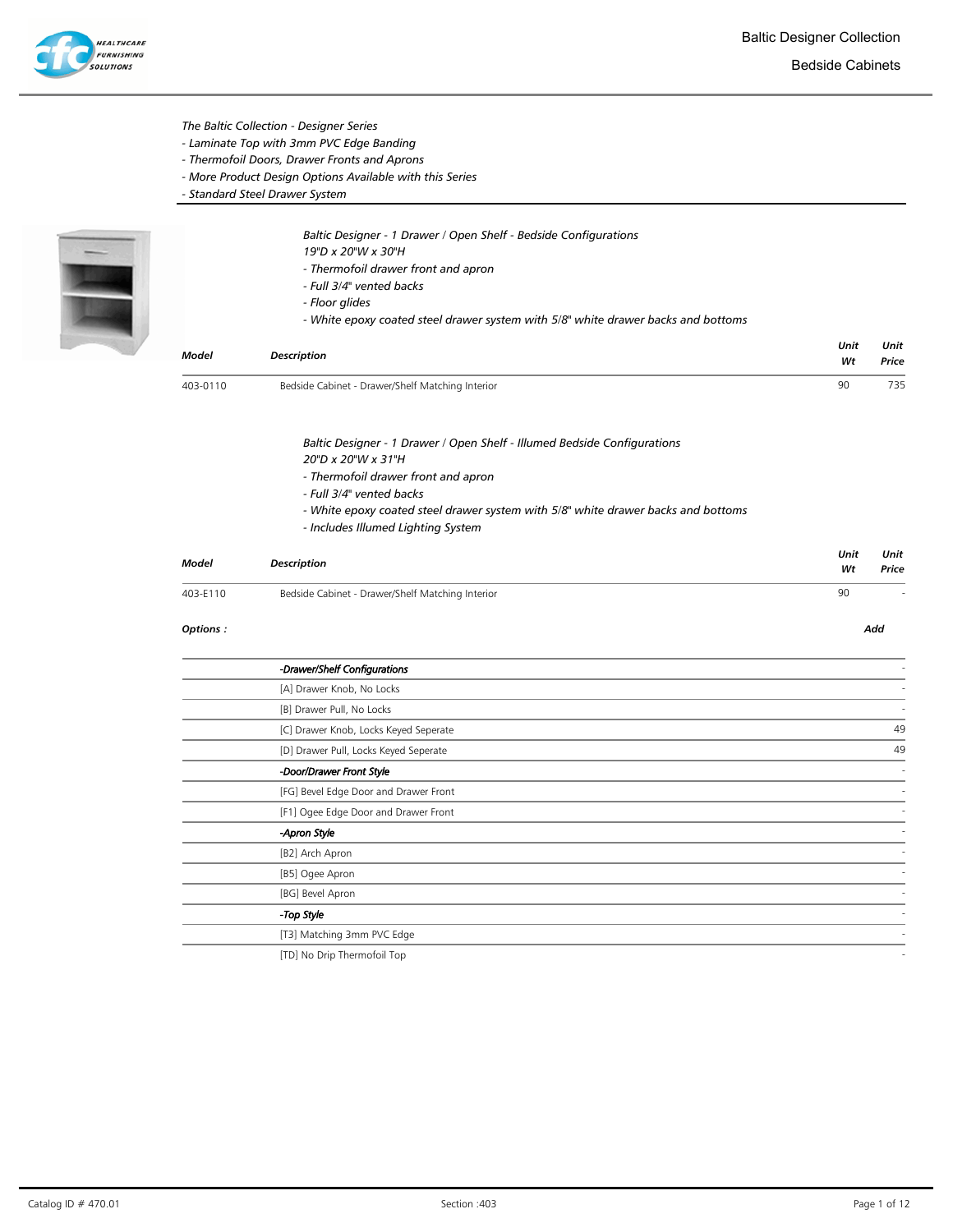

The Baltic Collection - Designer Series

- Laminate Top with 3mm PVC Edge Banding
- Thermofoil Doors, Drawer Fronts and Aprons
- More Product Design Options Available with this Series
- Standard Steel Drawer System



Baltic Designer - 1 Drawer / Open Shelf - Bedside Configurations 19"D x 20"W x 30"H

- Thermofoil drawer front and apron
- Full 3/4" vented backs
- Floor glides
- White epoxy coated steel drawer system with 5/8" white drawer backs and bottoms

| <b>Model</b> | <b>Description</b>                                                                                                      | Unit<br>Wt | Unit<br>Price |
|--------------|-------------------------------------------------------------------------------------------------------------------------|------------|---------------|
| 403-0110     | Bedside Cabinet - Drawer/Shelf Matching Interior                                                                        | 90         | 735           |
|              | Baltic Designer - 1 Drawer / Open Shelf - Illumed Bedside Configurations<br>20"D x 20"W x 31"H                          |            |               |
|              | - Thermofoil drawer front and apron                                                                                     |            |               |
|              | - Full 3/4" vented backs                                                                                                |            |               |
|              | - White epoxy coated steel drawer system with 5/8" white drawer backs and bottoms<br>- Includes Illumed Lighting System |            |               |
| Model        | <b>Description</b>                                                                                                      | Unit<br>Wt | Unit<br>Price |
| 403-E110     | Bedside Cabinet - Drawer/Shelf Matching Interior                                                                        | 90         |               |
| Options:     |                                                                                                                         |            | Add           |
|              | -Drawer/Shelf Configurations                                                                                            |            |               |
|              | [A] Drawer Knob, No Locks                                                                                               |            |               |
|              | [B] Drawer Pull, No Locks                                                                                               |            |               |
|              | [C] Drawer Knob, Locks Keyed Seperate                                                                                   |            | 49            |
|              | [D] Drawer Pull, Locks Keyed Seperate                                                                                   |            | 49            |
|              | -Door/Drawer Front Style                                                                                                |            |               |
|              | [FG] Bevel Edge Door and Drawer Front                                                                                   |            |               |
|              | [F1] Ogee Edge Door and Drawer Front                                                                                    |            |               |

-Apron Style - [B2] Arch Apron [B5] Ogee Apron [BG] Bevel Apron - - Top Style - Top Style - Top Style - Top Style - Top Style - Top Style - Top Style - Top Style - Top Style -[T3] Matching 3mm PVC Edge

[TD] No Drip Thermofoil Top -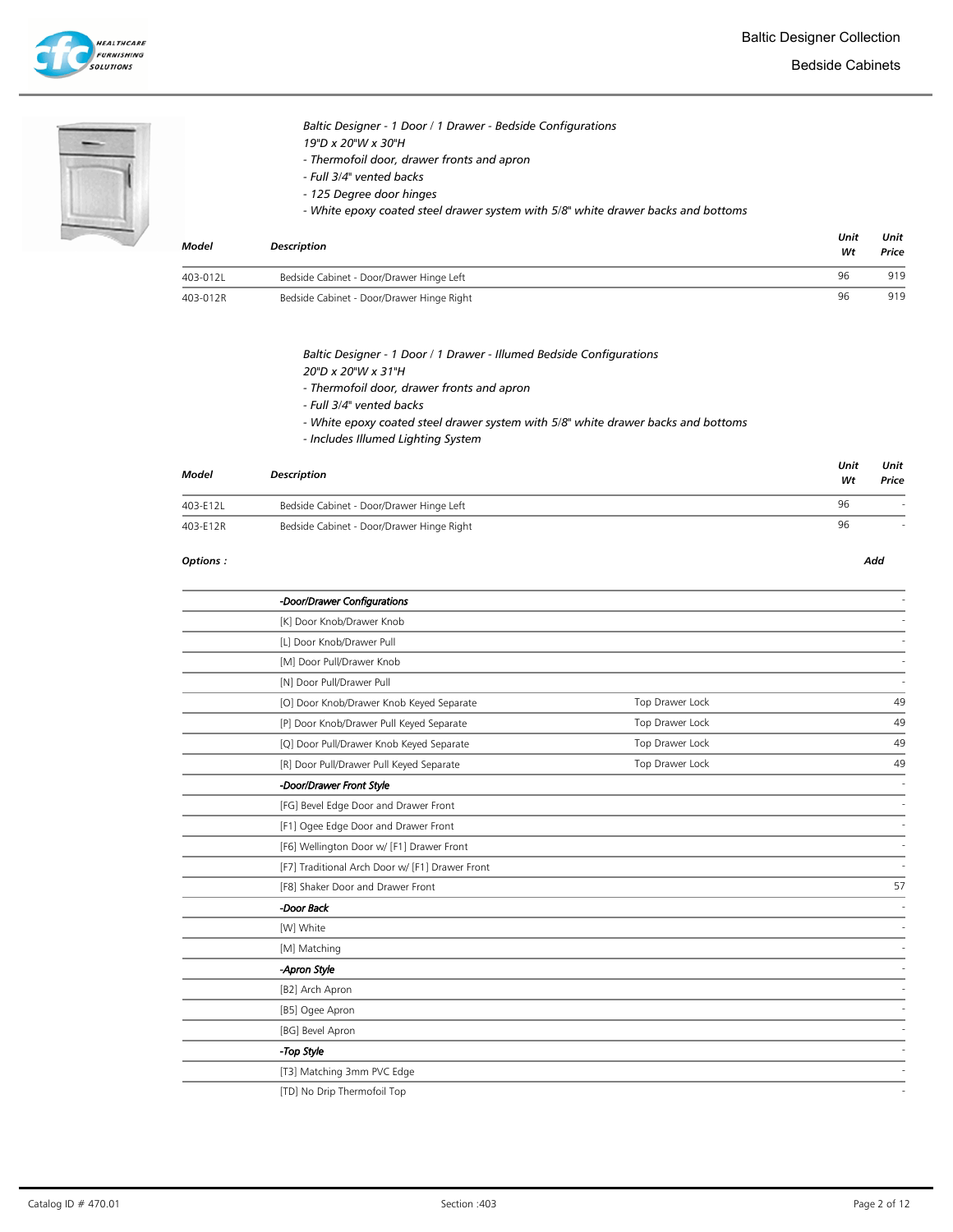### Baltic Designer - 1 Door / 1 Drawer - Bedside Configurations 19"D x 20"W x 30"H

- Thermofoil door, drawer fronts and apron
- Full 3/4" vented backs
- 125 Degree door hinges
- White epoxy coated steel drawer system with 5/8" white drawer backs and bottoms

| Model    | <b>Description</b>                        | Unit<br>Wt | Unit<br>Price |
|----------|-------------------------------------------|------------|---------------|
| 403-012L | Bedside Cabinet - Door/Drawer Hinge Left  | 96         | 919           |
| 403-012R | Bedside Cabinet - Door/Drawer Hinge Right | 96         | 919           |

### Baltic Designer - 1 Door / 1 Drawer - Illumed Bedside Configurations

- 20"D x 20"W x 31"H
- Thermofoil door, drawer fronts and apron
- Full 3/4" vented backs
- White epoxy coated steel drawer system with 5/8" white drawer backs and bottoms
- Includes Illumed Lighting System

| Model    | <b>Description</b>                        | Unit<br>Wt | Unit<br>Price |
|----------|-------------------------------------------|------------|---------------|
| 403-E12L | Bedside Cabinet - Door/Drawer Hinge Left  | 96         |               |
| 403-E12R | Bedside Cabinet - Door/Drawer Hinge Right | 96         |               |

#### Options : Add

-Door/Drawer Configurations - [K] Door Knob/Drawer Knob [L] Door Knob/Drawer Pull [M] Door Pull/Drawer Knob [N] Door Pull/Drawer Pull [O] Door Knob/Drawer Knob Keyed Separate Top Drawer Lock 49 [P] Door Knob/Drawer Pull Keyed Separate Top Drawer Lock 49 [Q] Door Pull/Drawer Knob Keyed Separate Top Drawer Lock 49 [R] Door Pull/Drawer Pull Keyed Separate Top Drawer Lock 49 -Door/Drawer Front Style - [FG] Bevel Edge Door and Drawer Front [F1] Ogee Edge Door and Drawer Front [F6] Wellington Door w/ [F1] Drawer Front [F7] Traditional Arch Door w/ [F1] Drawer Front [F8] Shaker Door and Drawer Front 57 -Door Back - [W] White - [M] Matching - -Apron Style - [B2] Arch Apron [B5] Ogee Apron [BG] Bevel Apron - Top Style - Top Style - Top Style - Top Style - Top Style - Top Style - Top Style - Top Style - Top Style -[T3] Matching 3mm PVC Edge [TD] No Drip Thermofoil Top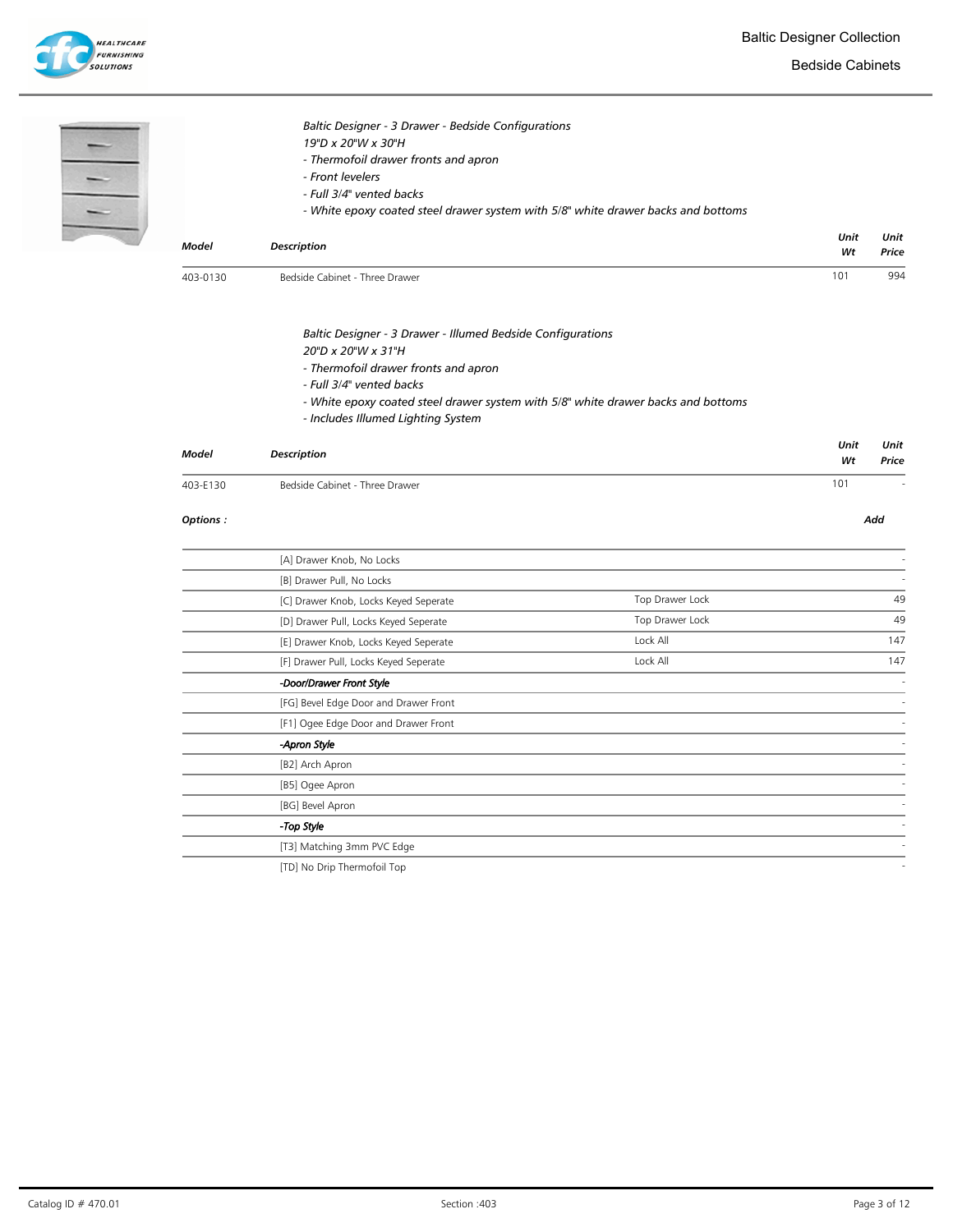

Bedside Cabinets

| $\frac{1}{\sqrt{1}}$ |              | Baltic Designer - 3 Drawer - Bedside Configurations<br>19"D x 20"W x 30"H<br>- Thermofoil drawer fronts and apron<br>- Front levelers<br>- Full 3/4" vented backs<br>- White epoxy coated steel drawer system with 5/8" white drawer backs and bottoms                           |                 |            |               |
|----------------------|--------------|----------------------------------------------------------------------------------------------------------------------------------------------------------------------------------------------------------------------------------------------------------------------------------|-----------------|------------|---------------|
|                      | <b>Model</b> | <b>Description</b>                                                                                                                                                                                                                                                               |                 | Unit<br>Wt | Unit<br>Price |
|                      | 403-0130     | Bedside Cabinet - Three Drawer                                                                                                                                                                                                                                                   |                 | 101        | 994           |
|                      |              | Baltic Designer - 3 Drawer - Illumed Bedside Configurations<br>20"D x 20"W x 31"H<br>- Thermofoil drawer fronts and apron<br>- Full 3/4" vented backs<br>- White epoxy coated steel drawer system with 5/8" white drawer backs and bottoms<br>- Includes Illumed Lighting System |                 |            |               |
|                      | Model        | <b>Description</b>                                                                                                                                                                                                                                                               |                 | Unit<br>Wt | Unit<br>Price |
|                      | 403-E130     | Bedside Cabinet - Three Drawer                                                                                                                                                                                                                                                   |                 | 101        |               |
|                      | Options:     |                                                                                                                                                                                                                                                                                  |                 |            | Add           |
|                      |              | [A] Drawer Knob, No Locks                                                                                                                                                                                                                                                        |                 |            |               |
|                      |              | [B] Drawer Pull, No Locks                                                                                                                                                                                                                                                        |                 |            |               |
|                      |              | [C] Drawer Knob, Locks Keyed Seperate                                                                                                                                                                                                                                            | Top Drawer Lock |            | 49            |
|                      |              | [D] Drawer Pull, Locks Keyed Seperate                                                                                                                                                                                                                                            | Top Drawer Lock |            | 49            |
|                      |              | [E] Drawer Knob, Locks Keyed Seperate                                                                                                                                                                                                                                            | Lock All        |            | 147           |
|                      |              | [F] Drawer Pull, Locks Keyed Seperate                                                                                                                                                                                                                                            | Lock All        |            | 147           |
|                      |              | -Door/Drawer Front Style                                                                                                                                                                                                                                                         |                 |            |               |
|                      |              | [FG] Bevel Edge Door and Drawer Front                                                                                                                                                                                                                                            |                 |            |               |
|                      |              | [F1] Ogee Edge Door and Drawer Front                                                                                                                                                                                                                                             |                 |            |               |
|                      |              | -Apron Style                                                                                                                                                                                                                                                                     |                 |            |               |
|                      |              | [B2] Arch Apron                                                                                                                                                                                                                                                                  |                 |            |               |
|                      |              | [B5] Ogee Apron                                                                                                                                                                                                                                                                  |                 |            |               |
|                      |              | [BG] Bevel Apron                                                                                                                                                                                                                                                                 |                 |            |               |
|                      |              | -Top Style                                                                                                                                                                                                                                                                       |                 |            |               |
|                      |              | [T3] Matching 3mm PVC Edge                                                                                                                                                                                                                                                       |                 |            |               |
|                      |              | [TD] No Drip Thermofoil Top                                                                                                                                                                                                                                                      |                 |            |               |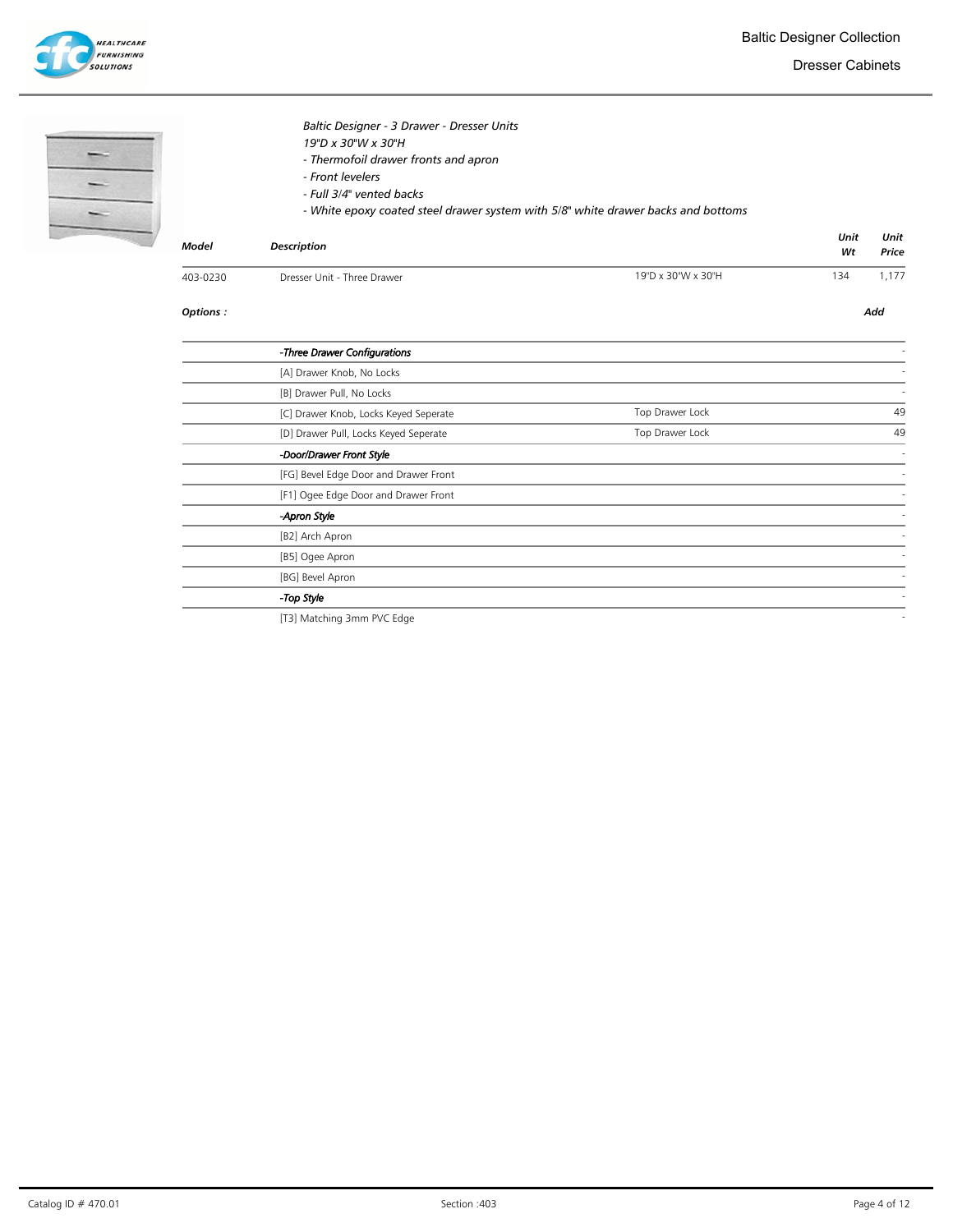

ĭ

Dresser Cabinets

|              | Baltic Designer - 3 Drawer - Dresser Units<br>19"D x 30"W x 30"H<br>- Thermofoil drawer fronts and apron<br>- Front levelers<br>- Full 3/4" vented backs<br>- White epoxy coated steel drawer system with 5/8" white drawer backs and bottoms |                    | Unit | Unit  |
|--------------|-----------------------------------------------------------------------------------------------------------------------------------------------------------------------------------------------------------------------------------------------|--------------------|------|-------|
| <b>Model</b> | <b>Description</b>                                                                                                                                                                                                                            |                    | Wt   | Price |
| 403-0230     | Dresser Unit - Three Drawer                                                                                                                                                                                                                   | 19"D x 30"W x 30"H | 134  | 1,177 |
| Options:     |                                                                                                                                                                                                                                               |                    |      | Add   |
|              | -Three Drawer Configurations                                                                                                                                                                                                                  |                    |      |       |
|              | [A] Drawer Knob, No Locks                                                                                                                                                                                                                     |                    |      |       |
|              | [B] Drawer Pull, No Locks                                                                                                                                                                                                                     |                    |      |       |
|              | [C] Drawer Knob, Locks Keyed Seperate                                                                                                                                                                                                         | Top Drawer Lock    |      | 49    |
|              | [D] Drawer Pull, Locks Keyed Seperate                                                                                                                                                                                                         | Top Drawer Lock    |      | 49    |
|              | -Door/Drawer Front Style                                                                                                                                                                                                                      |                    |      |       |
|              | [FG] Bevel Edge Door and Drawer Front                                                                                                                                                                                                         |                    |      |       |
|              | [F1] Ogee Edge Door and Drawer Front                                                                                                                                                                                                          |                    |      |       |
|              | -Apron Style                                                                                                                                                                                                                                  |                    |      |       |
|              | [B2] Arch Apron                                                                                                                                                                                                                               |                    |      |       |
|              | [B5] Ogee Apron                                                                                                                                                                                                                               |                    |      |       |

- Top Style - Top Style - Top Style - Top Style - Top Style - Top Style - Top Style - Top Style - Top Style -

[T3] Matching 3mm PVC Edge

[BG] Bevel Apron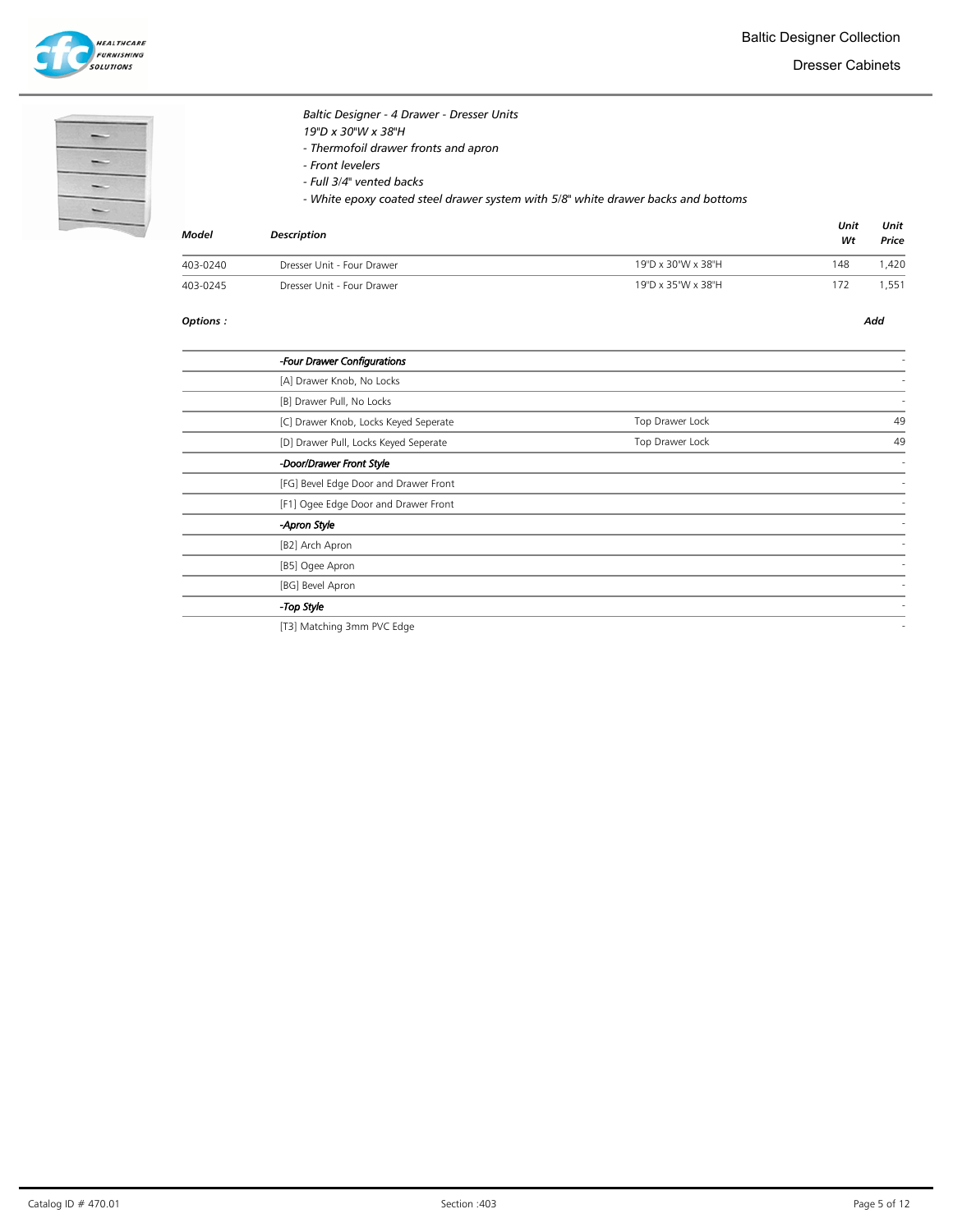

Dresser Cabinets

| c |
|---|
| ٠ |
|   |

# Baltic Designer - 4 Drawer - Dresser Units

- 19"D x 30"W x 38"H
- Thermofoil drawer fronts and apron
- Front levelers
- Full 3/4" vented backs

- White epoxy coated steel drawer system with 5/8" white drawer backs and bottoms

| Model    | <b>Description</b>         |                    | Unit<br>Wt | Unit<br>Price |
|----------|----------------------------|--------------------|------------|---------------|
| 403-0240 | Dresser Unit - Four Drawer | 19"D x 30"W x 38"H | 148        | .420          |
| 403-0245 | Dresser Unit - Four Drawer | 19"D x 35"W x 38"H | 172        | ,551          |

### Options : Add

| -Four Drawer Configurations           |                 |    |
|---------------------------------------|-----------------|----|
| [A] Drawer Knob, No Locks             |                 |    |
| [B] Drawer Pull, No Locks             |                 |    |
| [C] Drawer Knob, Locks Keyed Seperate | Top Drawer Lock | 49 |
| [D] Drawer Pull, Locks Keyed Seperate | Top Drawer Lock | 49 |
| -Door/Drawer Front Style              |                 |    |
| [FG] Bevel Edge Door and Drawer Front |                 |    |
| [F1] Ogee Edge Door and Drawer Front  |                 |    |
| -Apron Style                          |                 |    |
| [B2] Arch Apron                       |                 |    |
| [B5] Ogee Apron                       |                 |    |
| [BG] Bevel Apron                      |                 |    |
| -Top Style                            |                 |    |
|                                       |                 |    |

[T3] Matching 3mm PVC Edge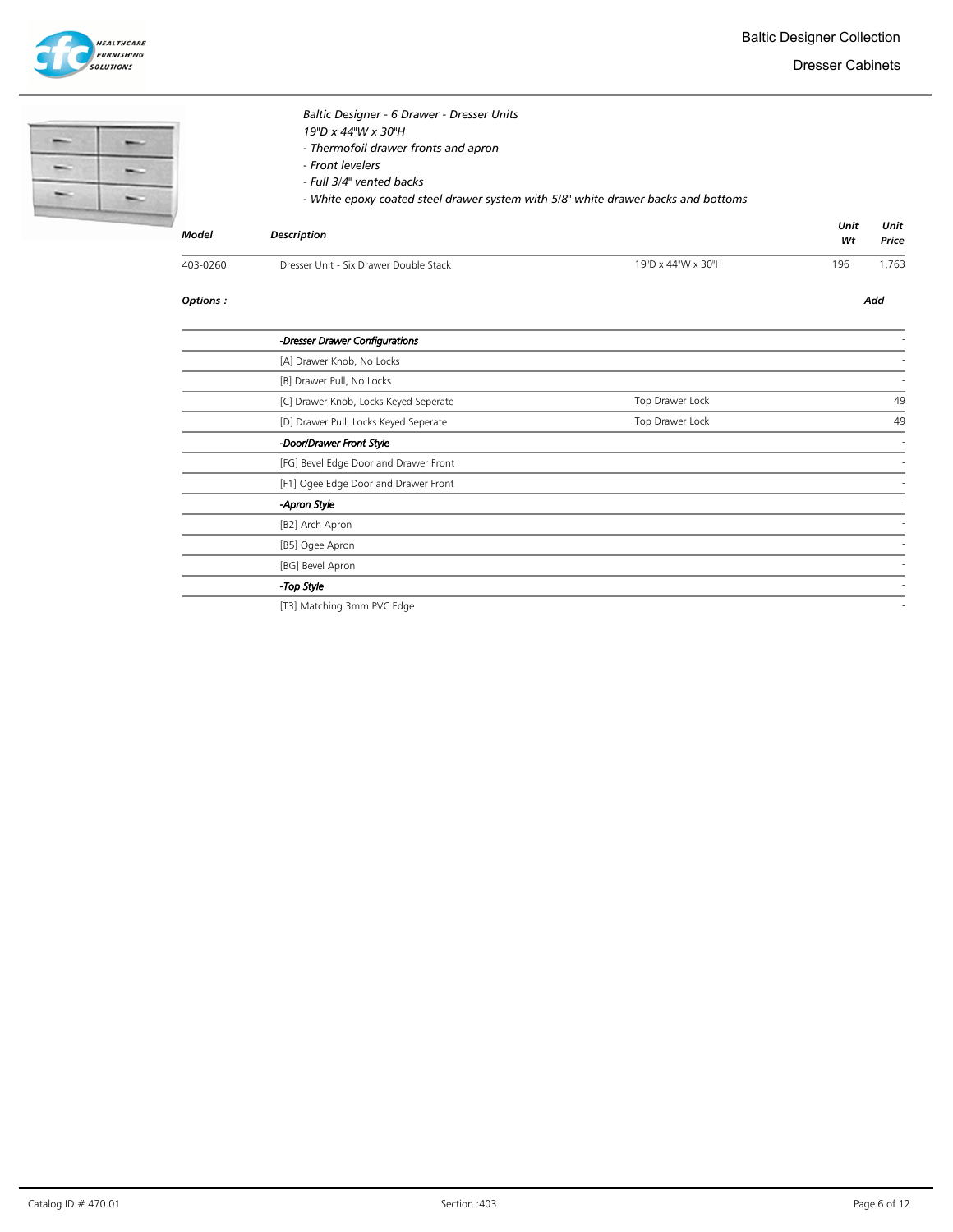



Dresser Cabinets

| <b>Model</b> | Baltic Designer - 6 Drawer - Dresser Units<br>19"D x 44"W x 30"H<br>- Thermofoil drawer fronts and apron<br>- Front levelers<br>- Full 3/4" vented backs<br>- White epoxy coated steel drawer system with 5/8" white drawer backs and bottoms<br><b>Description</b> |                    | Unit<br>Wt | Unit<br>Price |
|--------------|---------------------------------------------------------------------------------------------------------------------------------------------------------------------------------------------------------------------------------------------------------------------|--------------------|------------|---------------|
| 403-0260     | Dresser Unit - Six Drawer Double Stack                                                                                                                                                                                                                              | 19"D x 44"W x 30"H | 196        | 1,763         |
| Options:     |                                                                                                                                                                                                                                                                     |                    |            | Add           |
|              | -Dresser Drawer Configurations                                                                                                                                                                                                                                      |                    |            |               |
|              | [A] Drawer Knob, No Locks                                                                                                                                                                                                                                           |                    |            |               |
|              | [B] Drawer Pull, No Locks                                                                                                                                                                                                                                           |                    |            |               |
|              | [C] Drawer Knob, Locks Keyed Seperate                                                                                                                                                                                                                               | Top Drawer Lock    |            | 49            |
|              | [D] Drawer Pull, Locks Keyed Seperate                                                                                                                                                                                                                               | Top Drawer Lock    |            | 49            |
|              | -Door/Drawer Front Style                                                                                                                                                                                                                                            |                    |            |               |
|              | [FG] Bevel Edge Door and Drawer Front                                                                                                                                                                                                                               |                    |            |               |
|              | [F1] Ogee Edge Door and Drawer Front                                                                                                                                                                                                                                |                    |            |               |
|              | -Apron Style                                                                                                                                                                                                                                                        |                    |            |               |
|              | [B2] Arch Apron                                                                                                                                                                                                                                                     |                    |            |               |
|              | [B5] Ogee Apron                                                                                                                                                                                                                                                     |                    |            |               |
|              | [BG] Bevel Apron                                                                                                                                                                                                                                                    |                    |            |               |
|              | -Top Style                                                                                                                                                                                                                                                          |                    |            |               |
|              | [T3] Matching 3mm PVC Edge                                                                                                                                                                                                                                          |                    |            |               |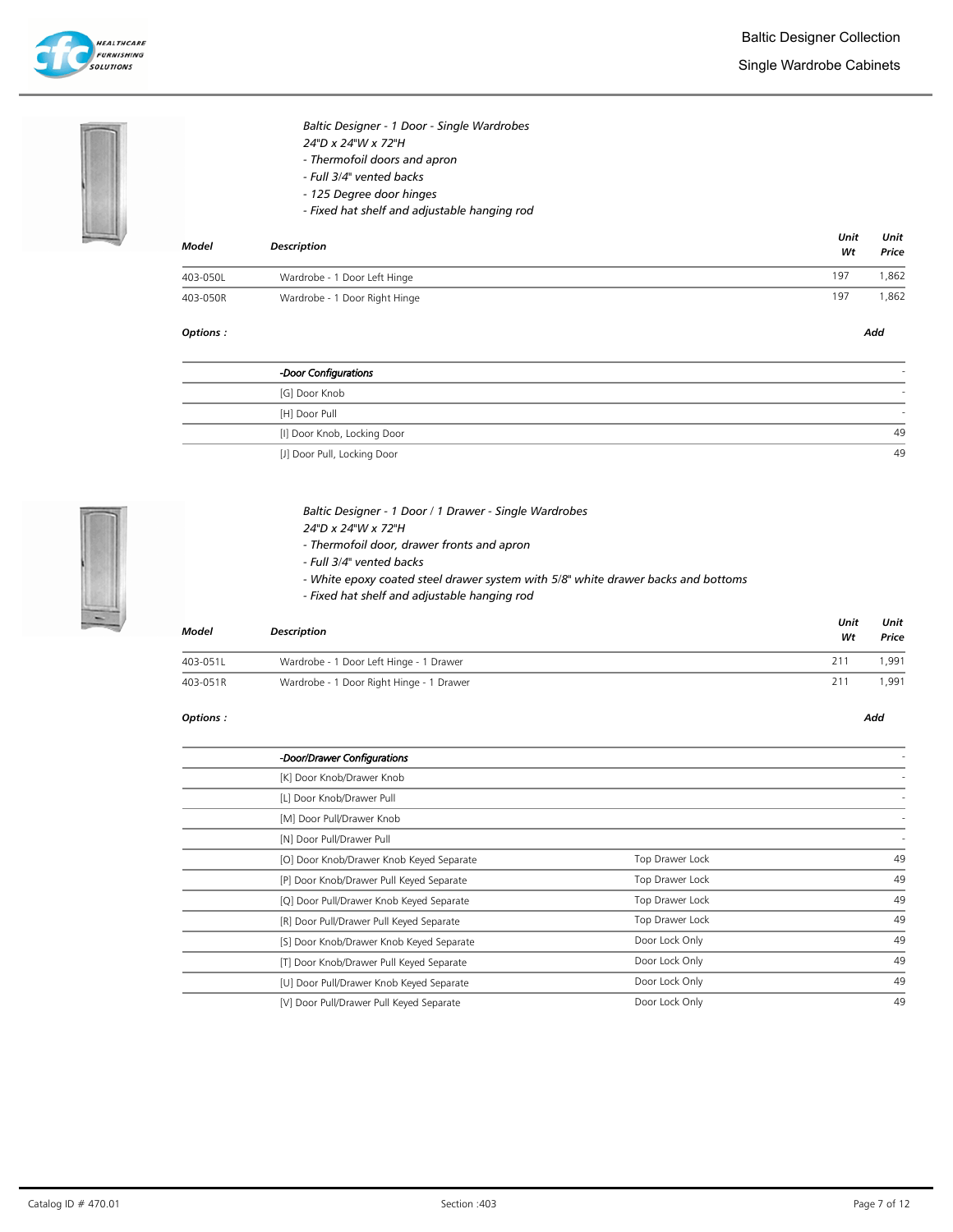



# Baltic Designer - 1 Door - Single Wardrobes 24"D x 24"W x 72"H - Thermofoil doors and apron

- Full 3/4" vented backs - 125 Degree door hinges
- Fixed hat shelf and adjustable hanging rod

| <b>Model</b> | <b>Description</b>            |     |      |
|--------------|-------------------------------|-----|------|
| 403-050L     | Wardrobe - 1 Door Left Hinge  | 197 | .862 |
| 403-050R     | Wardrobe - 1 Door Right Hinge | 197 | ,862 |

### Options : Add

| -Door Configurations        |    |
|-----------------------------|----|
| [G] Door Knob               |    |
| [H] Door Pull               |    |
| [I] Door Knob, Locking Door | 49 |
| [J] Door Pull, Locking Door | 49 |



## Baltic Designer - 1 Door / 1 Drawer - Single Wardrobes 24"D x 24"W x 72"H

- Thermofoil door, drawer fronts and apron
- Full 3/4" vented backs
- White epoxy coated steel drawer system with 5/8" white drawer backs and bottoms
- Fixed hat shelf and adjustable hanging rod

| Model    | <b>Description</b>                       | Unit<br>Wt | Unit<br>Price |
|----------|------------------------------------------|------------|---------------|
| 403-051L | Wardrobe - 1 Door Left Hinge - 1 Drawer  | 211        | .991          |
| 403-051R | Wardrobe - 1 Door Right Hinge - 1 Drawer | 211        | .991          |

### Options : Add

| -Door/Drawer Configurations              |                 |    |
|------------------------------------------|-----------------|----|
| [K] Door Knob/Drawer Knob                |                 |    |
| [L] Door Knob/Drawer Pull                |                 |    |
| [M] Door Pull/Drawer Knob                |                 |    |
| [N] Door Pull/Drawer Pull                |                 |    |
| [O] Door Knob/Drawer Knob Keyed Separate | Top Drawer Lock | 49 |
| [P] Door Knob/Drawer Pull Keyed Separate | Top Drawer Lock | 49 |
| [Q] Door Pull/Drawer Knob Keyed Separate | Top Drawer Lock | 49 |
| [R] Door Pull/Drawer Pull Keyed Separate | Top Drawer Lock | 49 |
| [S] Door Knob/Drawer Knob Keyed Separate | Door Lock Only  | 49 |
| [T] Door Knob/Drawer Pull Keyed Separate | Door Lock Only  | 49 |
| [U] Door Pull/Drawer Knob Keyed Separate | Door Lock Only  | 49 |
| [V] Door Pull/Drawer Pull Keyed Separate | Door Lock Only  | 49 |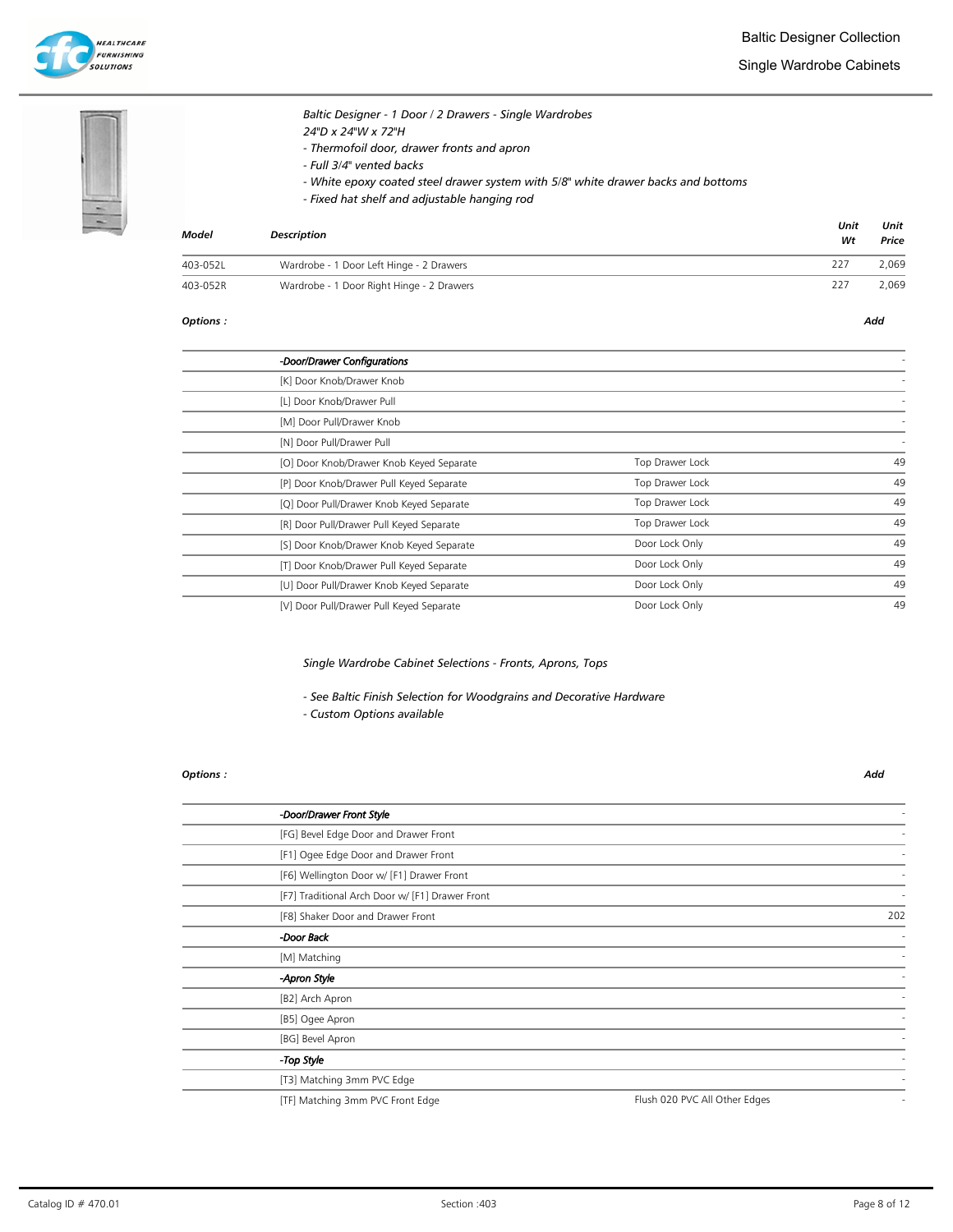

Single Wardrobe Cabinets





# Baltic Designer - 1 Door / 2 Drawers - Single Wardrobes 24"D x 24"W x 72"H - Thermofoil door, drawer fronts and apron - Full 3/4" vented backs

- White epoxy coated steel drawer system with 5/8" white drawer backs and bottoms
- Fixed hat shelf and adjustable hanging rod

| <b>Model</b> | <b>Description</b>                        | Unit<br>Wt | Unit<br>Price |
|--------------|-------------------------------------------|------------|---------------|
| 403-052L     | Wardrobe - 1 Door Left Hinge - 2 Drawers  | 227        | 2.069         |
| 403-052R     | Wardrobe - 1 Door Right Hinge - 2 Drawers | 227        | 2,069         |

#### Options : Add

| -Door/Drawer Configurations              |                 |    |
|------------------------------------------|-----------------|----|
| [K] Door Knob/Drawer Knob                |                 |    |
| [L] Door Knob/Drawer Pull                |                 |    |
| [M] Door Pull/Drawer Knob                |                 |    |
| [N] Door Pull/Drawer Pull                |                 |    |
| [O] Door Knob/Drawer Knob Keyed Separate | Top Drawer Lock | 49 |
| [P] Door Knob/Drawer Pull Keyed Separate | Top Drawer Lock | 49 |
| [Q] Door Pull/Drawer Knob Keyed Separate | Top Drawer Lock | 49 |
| [R] Door Pull/Drawer Pull Keyed Separate | Top Drawer Lock | 49 |
| [S] Door Knob/Drawer Knob Keyed Separate | Door Lock Only  | 49 |
| [T] Door Knob/Drawer Pull Keyed Separate | Door Lock Only  | 49 |
| [U] Door Pull/Drawer Knob Keyed Separate | Door Lock Only  | 49 |
| [V] Door Pull/Drawer Pull Keyed Separate | Door Lock Only  | 49 |
|                                          |                 |    |

## Single Wardrobe Cabinet Selections - Fronts, Aprons, Tops

- See Baltic Finish Selection for Woodgrains and Decorative Hardware

- Custom Options available

### Options : Add

| -Door/Drawer Front Style                        |                               |     |
|-------------------------------------------------|-------------------------------|-----|
| [FG] Bevel Edge Door and Drawer Front           |                               |     |
| [F1] Ogee Edge Door and Drawer Front            |                               |     |
| [F6] Wellington Door w/ [F1] Drawer Front       |                               |     |
| [F7] Traditional Arch Door w/ [F1] Drawer Front |                               |     |
| [F8] Shaker Door and Drawer Front               |                               | 202 |
| Door Back                                       |                               |     |
| [M] Matching                                    |                               |     |
| -Apron Style                                    |                               |     |
| [B2] Arch Apron                                 |                               |     |
| [B5] Ogee Apron                                 |                               |     |
| [BG] Bevel Apron                                |                               |     |
| -Top Style                                      |                               |     |
| [T3] Matching 3mm PVC Edge                      |                               |     |
| [TF] Matching 3mm PVC Front Edge                | Flush 020 PVC All Other Edges |     |
|                                                 |                               |     |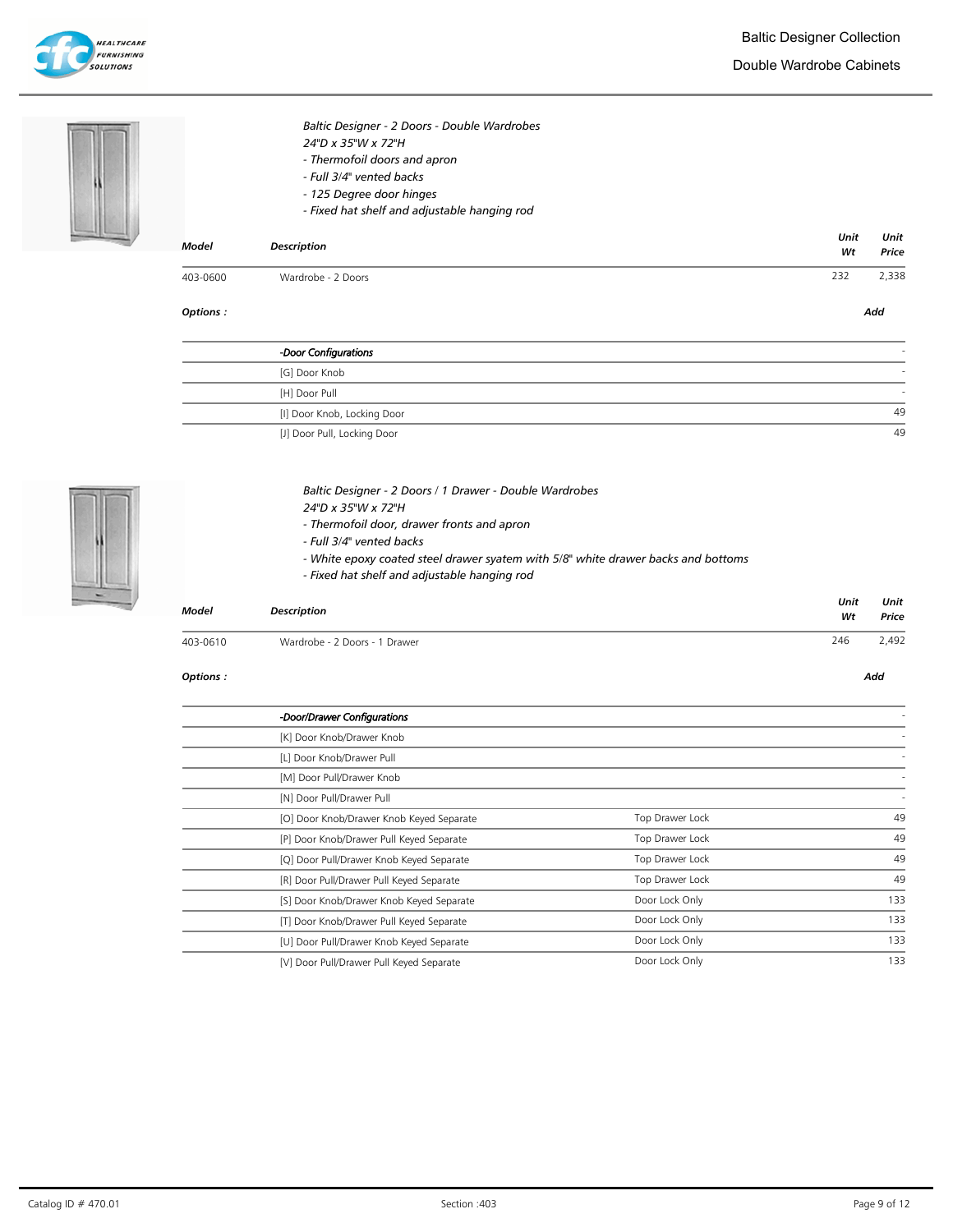

Double Wardrobe Cabinets



| 403-0600 | Wardrobe - 2 Doors                           | 232  | 2,338 |
|----------|----------------------------------------------|------|-------|
|          |                                              | Wt   | Price |
| Model    | <b>Description</b>                           | Unit | Unit  |
|          | - Fixed hat shelf and adjustable hanging rod |      |       |
|          | - 125 Degree door hinges                     |      |       |
|          | - Full 3/4" vented backs                     |      |       |
|          | - Thermofoil doors and apron                 |      |       |
|          | 24"D x 35"W x 72"H                           |      |       |
|          | Baltic Designer - 2 Doors - Double Wardrobes |      |       |

Options : Add

| -Door Configurations        |          |
|-----------------------------|----------|
| [G] Door Knob               |          |
| [H] Door Pull               |          |
| [I] Door Knob, Locking Door | 49       |
| [1] Door Pull Locking Door  | $\Delta$ |

[J] Door Pull, Locking Door



| Baltic Designer - 2 Doors / 1 Drawer - Double Wardrobes |  |
|---------------------------------------------------------|--|
|---------------------------------------------------------|--|

- 24"D x 35"W x 72"H
- Thermofoil door, drawer fronts and apron
- Full 3/4" vented backs
- White epoxy coated steel drawer syatem with 5/8" white drawer backs and bottoms
- Fixed hat shelf and adjustable hanging rod

| Model    | Description                   | Unit<br>Wt | Unit<br>Price |
|----------|-------------------------------|------------|---------------|
| 403-0610 | Wardrobe - 2 Doors - 1 Drawer | 246        | 2,492         |

#### Options : Add

-Door/Drawer Configurations - [K] Door Knob/Drawer Knob [L] Door Knob/Drawer Pull [M] Door Pull/Drawer Knob [N] Door Pull/Drawer Pull [O] Door Knob/Drawer Knob Keyed Separate Top Drawer Lock 49 [P] Door Knob/Drawer Pull Keyed Separate 49 [Q] Door Pull/Drawer Knob Keyed Separate Top Drawer Lock 49 [R] Door Pull/Drawer Pull Keyed Separate Top Drawer Lock 49 [S] Door Knob/Drawer Knob Keyed Separate and the Constantine Door Lock Only 133 [T] Door Knob/Drawer Pull Keyed Separate Door Lock Only 133 [U] Door Pull/Drawer Knob Keyed Separate Door Lock Only 133 [V] Door Pull/Drawer Pull Keyed Separate Door Lock Only 133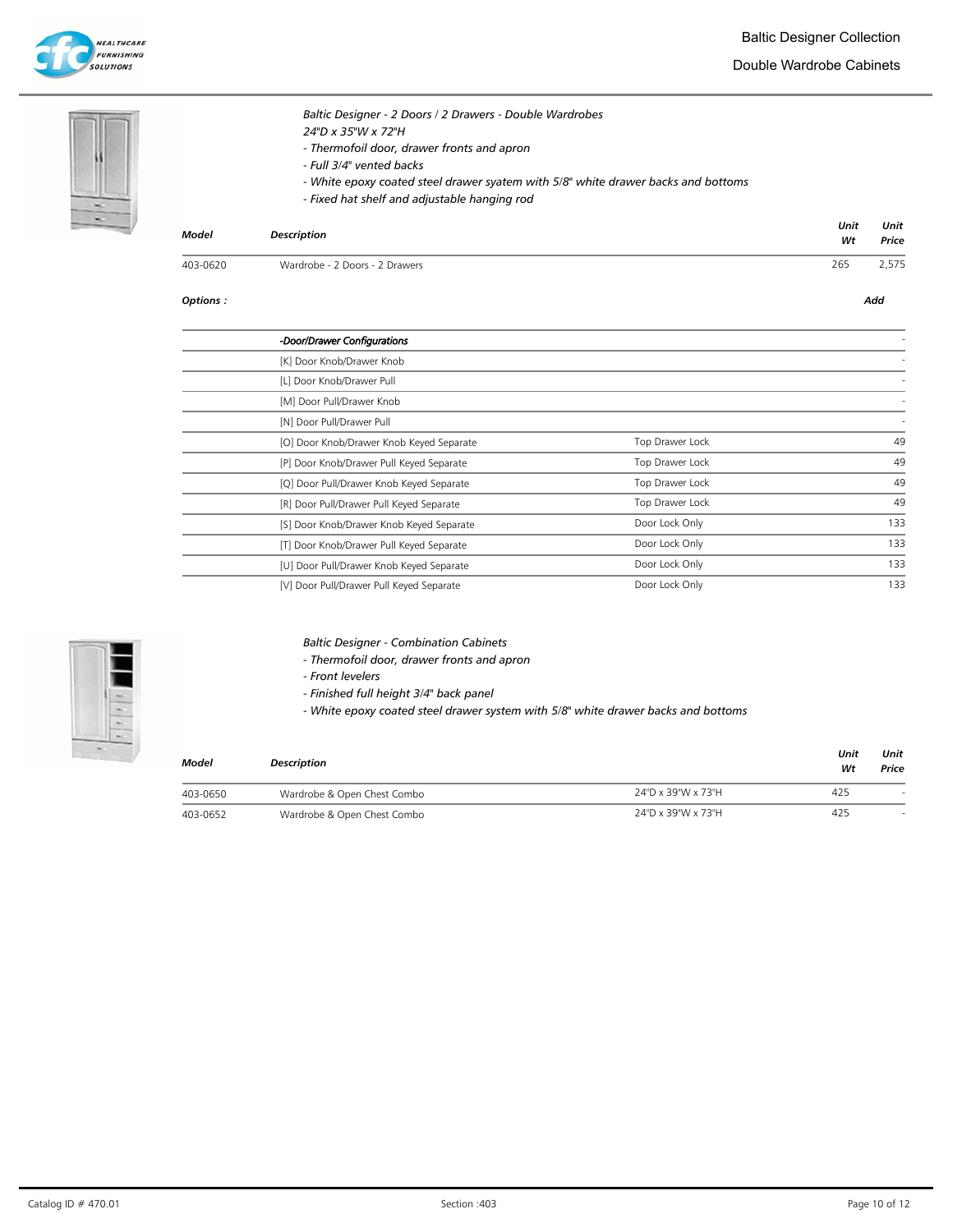

Double Wardrobe Cabinets





Baltic Designer - 2 Doors / 2 Drawers - Double Wardrobes 24"D x 35"W x 72"H - Thermofoil door, drawer fronts and apron

- Full 3/4" vented backs
- White epoxy coated steel drawer syatem with 5/8" white drawer backs and bottoms
- Fixed hat shelf and adjustable hanging rod

| Model    | Description                    | Unit<br>Wt | Unit<br>Price |
|----------|--------------------------------|------------|---------------|
| 403-0620 | Wardrobe - 2 Doors - 2 Drawers | 265        | 2,575         |

#### Options : Add

| -Door/Drawer Configurations              |                 |     |
|------------------------------------------|-----------------|-----|
| [K] Door Knob/Drawer Knob                |                 |     |
| [L] Door Knob/Drawer Pull                |                 |     |
| [M] Door Pull/Drawer Knob                |                 |     |
| [N] Door Pull/Drawer Pull                |                 |     |
| [O] Door Knob/Drawer Knob Keyed Separate | Top Drawer Lock | 49  |
| [P] Door Knob/Drawer Pull Keyed Separate | Top Drawer Lock | 49  |
| [Q] Door Pull/Drawer Knob Keyed Separate | Top Drawer Lock | 49  |
| [R] Door Pull/Drawer Pull Keyed Separate | Top Drawer Lock | 49  |
| [S] Door Knob/Drawer Knob Keyed Separate | Door Lock Only  | 133 |
| [T] Door Knob/Drawer Pull Keyed Separate | Door Lock Only  | 133 |
| [U] Door Pull/Drawer Knob Keyed Separate | Door Lock Only  | 133 |
| [V] Door Pull/Drawer Pull Keyed Separate | Door Lock Only  | 133 |

Baltic Designer - Combination Cabinets

- Thermofoil door, drawer fronts and apron
- Front levelers
- Finished full height 3/4" back panel

- White epoxy coated steel drawer system with 5/8" white drawer backs and bottoms

| <b>Model</b> | <b>Description</b>          |                    |     | Unit<br>Price |
|--------------|-----------------------------|--------------------|-----|---------------|
| 403-0650     | Wardrobe & Open Chest Combo | 24"D x 39"W x 73"H | 425 |               |
| 403-0652     | Wardrobe & Open Chest Combo | 24"D x 39"W x 73"H | 425 |               |

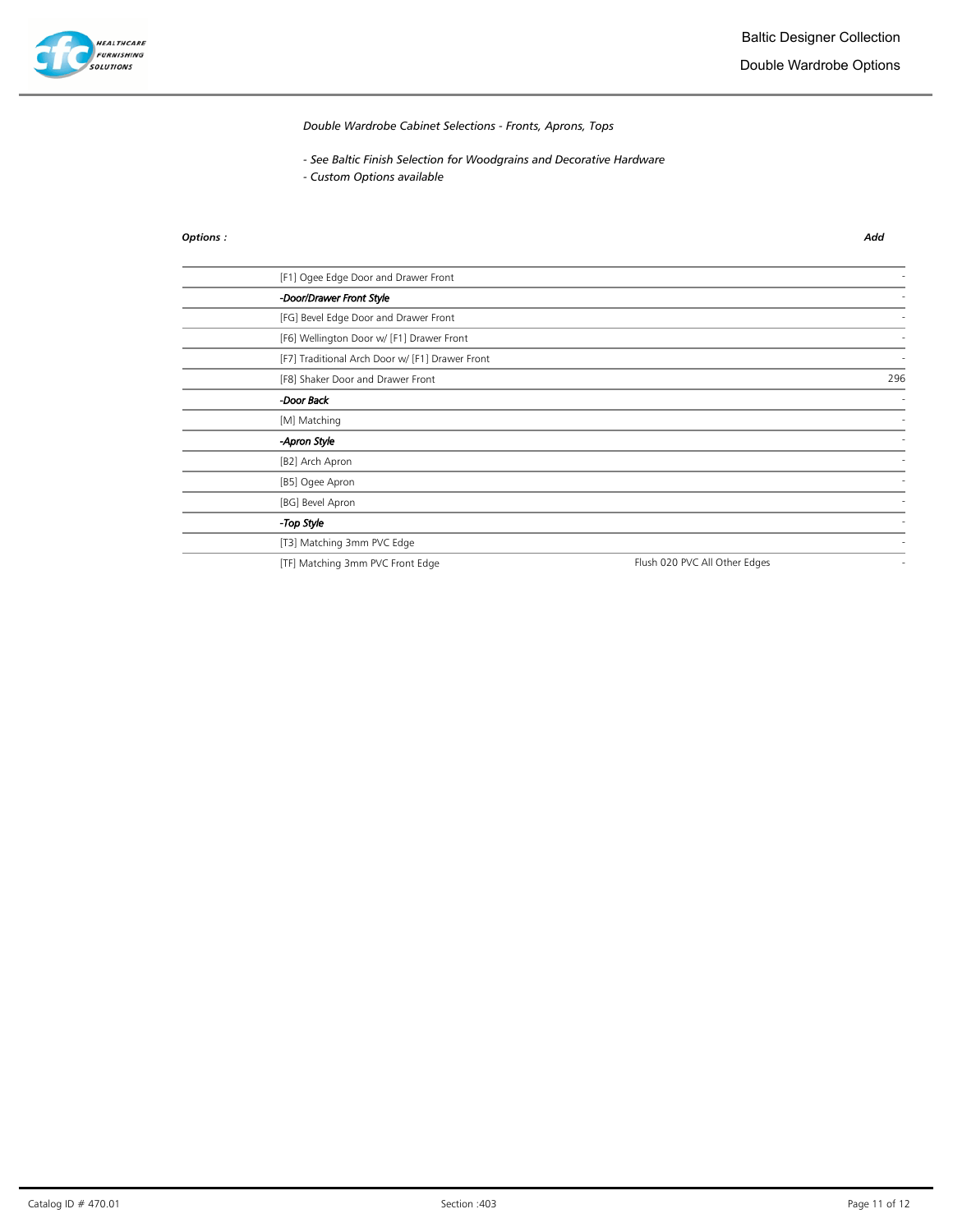

Double Wardrobe Options

Double Wardrobe Cabinet Selections - Fronts, Aprons, Tops

- See Baltic Finish Selection for Woodgrains and Decorative Hardware
- Custom Options available

### Options : Add

| [F1] Ogee Edge Door and Drawer Front            |                               |     |
|-------------------------------------------------|-------------------------------|-----|
| -Door/Drawer Front Style                        |                               |     |
| [FG] Bevel Edge Door and Drawer Front           |                               |     |
| [F6] Wellington Door w/ [F1] Drawer Front       |                               |     |
| [F7] Traditional Arch Door w/ [F1] Drawer Front |                               |     |
| [F8] Shaker Door and Drawer Front               |                               | 296 |
| -Door Back                                      |                               |     |
| [M] Matching                                    |                               |     |
| -Apron Style                                    |                               |     |
| [B2] Arch Apron                                 |                               |     |
| [B5] Ogee Apron                                 |                               |     |
| [BG] Bevel Apron                                |                               |     |
| -Top Style                                      |                               |     |
| [T3] Matching 3mm PVC Edge                      |                               |     |
| [TF] Matching 3mm PVC Front Edge                | Flush 020 PVC All Other Edges |     |